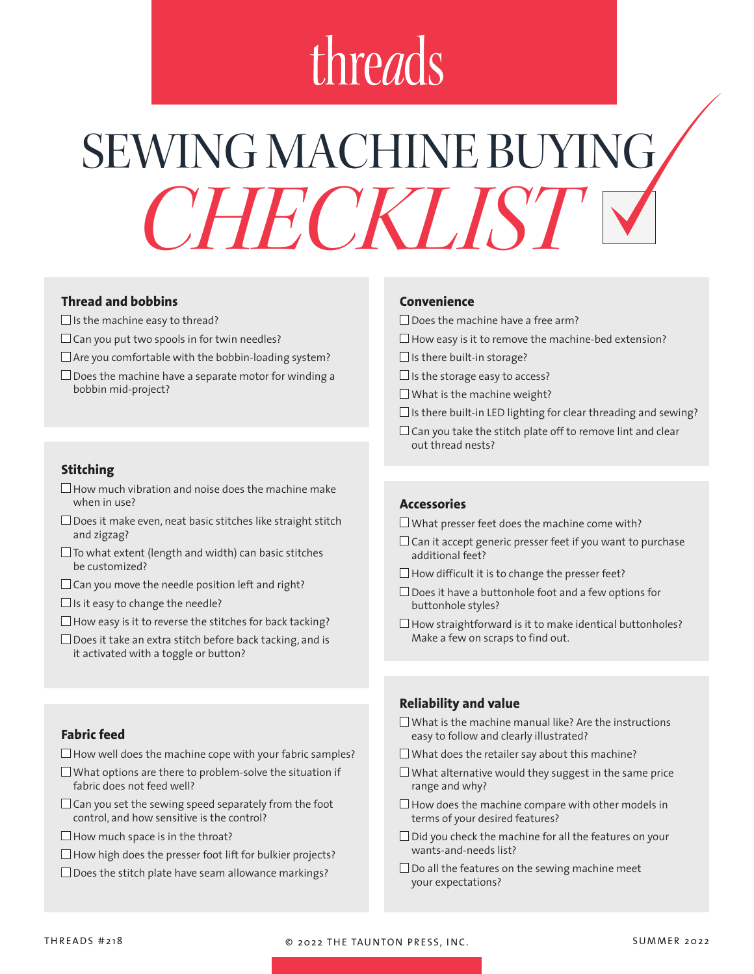# threads

# SEWING MACHINE BUYING. *CHECKLIST*

# **Thread and bobbins**

- $\Box$  Is the machine easy to thread?
- $\Box$  Can you put two spools in for twin needles?
- $\Box$  Are you comfortable with the bobbin-loading system?
- $\Box$  Does the machine have a separate motor for winding a bobbin mid-project?

## **Stitching**

- $\Box$  How much vibration and noise does the machine make when in use?
- $\Box$  Does it make even, neat basic stitches like straight stitch and zigzag?
- $\square$  To what extent (length and width) can basic stitches be customized?
- $\Box$  Can you move the needle position left and right?
- $\Box$  Is it easy to change the needle?
- $\Box$  How easy is it to reverse the stitches for back tacking?
- $\Box$  Does it take an extra stitch before back tacking, and is it activated with a toggle or button?

### **Convenience**

- $\Box$  Does the machine have a free arm?
- $\Box$  How easy is it to remove the machine-bed extension?
- $\Box$  Is there built-in storage?
- $\Box$  Is the storage easy to access?
- $\Box$  What is the machine weight?
- $\square$  Is there built-in LED lighting for clear threading and sewing?
- $\Box$  Can you take the stitch plate off to remove lint and clear out thread nests?

# **Accessories**

- $\square$  What presser feet does the machine come with?
- $\Box$  Can it accept generic presser feet if you want to purchase additional feet?
- $\Box$  How difficult it is to change the presser feet?
- $\square$  Does it have a buttonhole foot and a few options for buttonhole styles?
- $\Box$  How straightforward is it to make identical buttonholes? Make a few on scraps to find out.

## **Reliability and value**

- $\square$  What is the machine manual like? Are the instructions easy to follow and clearly illustrated?
- $\square$  What does the retailer say about this machine?
- $\Box$  What alternative would they suggest in the same price range and why?
- $\Box$  How does the machine compare with other models in terms of your desired features?
- $\square$  Did you check the machine for all the features on your wants-and-needs list?
- $\square$  Do all the features on the sewing machine meet your expectations?

## **Fabric feed**

- $\Box$  How well does the machine cope with your fabric samples?
- $\Box$  What options are there to problem-solve the situation if fabric does not feed well?
- $\Box$  Can you set the sewing speed separately from the foot control, and how sensitive is the control?
- $\Box$  How much space is in the throat?
- $\Box$  How high does the presser foot lift for bulkier projects?
- $\square$  Does the stitch plate have seam allowance markings?